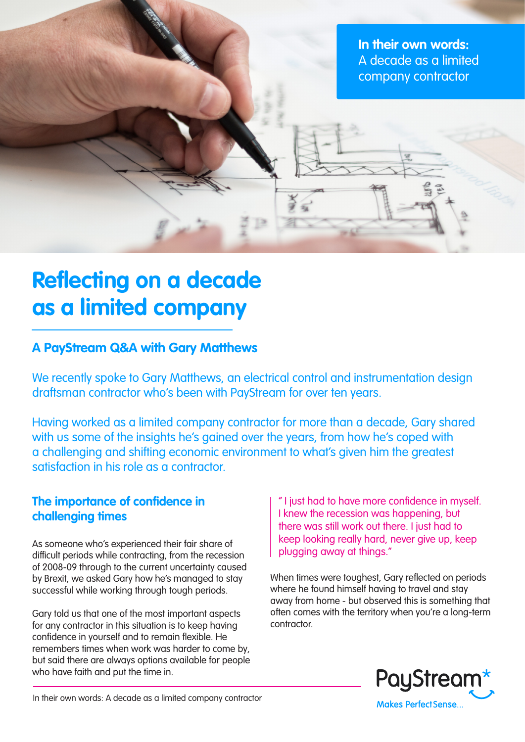**In their own words:** A decade as a limited company contractor

# **Reflecting on a decade as a limited company**

## **A PayStream Q&A with Gary Matthews**

We recently spoke to Gary Matthews, an electrical control and instrumentation design draftsman contractor who's been with PayStream for over ten years.

Having worked as a limited company contractor for more than a decade, Gary shared with us some of the insights he's gained over the years, from how he's coped with a challenging and shifting economic environment to what's given him the greatest satisfaction in his role as a contractor.

#### **The importance of confidence in challenging times**

As someone who's experienced their fair share of difficult periods while contracting, from the recession of 2008-09 through to the current uncertainty caused by Brexit, we asked Gary how he's managed to stay successful while working through tough periods.

Gary told us that one of the most important aspects for any contractor in this situation is to keep having confidence in yourself and to remain flexible. He remembers times when work was harder to come by, but said there are always options available for people who have faith and put the time in.

" I just had to have more confidence in myself. I knew the recession was happening, but there was still work out there. I just had to keep looking really hard, never give up, keep plugging away at things."

When times were toughest, Gary reflected on periods where he found himself having to travel and stay away from home - but observed this is something that often comes with the territory when you're a long-term contractor.



In their own words: A decade as a limited company contractor